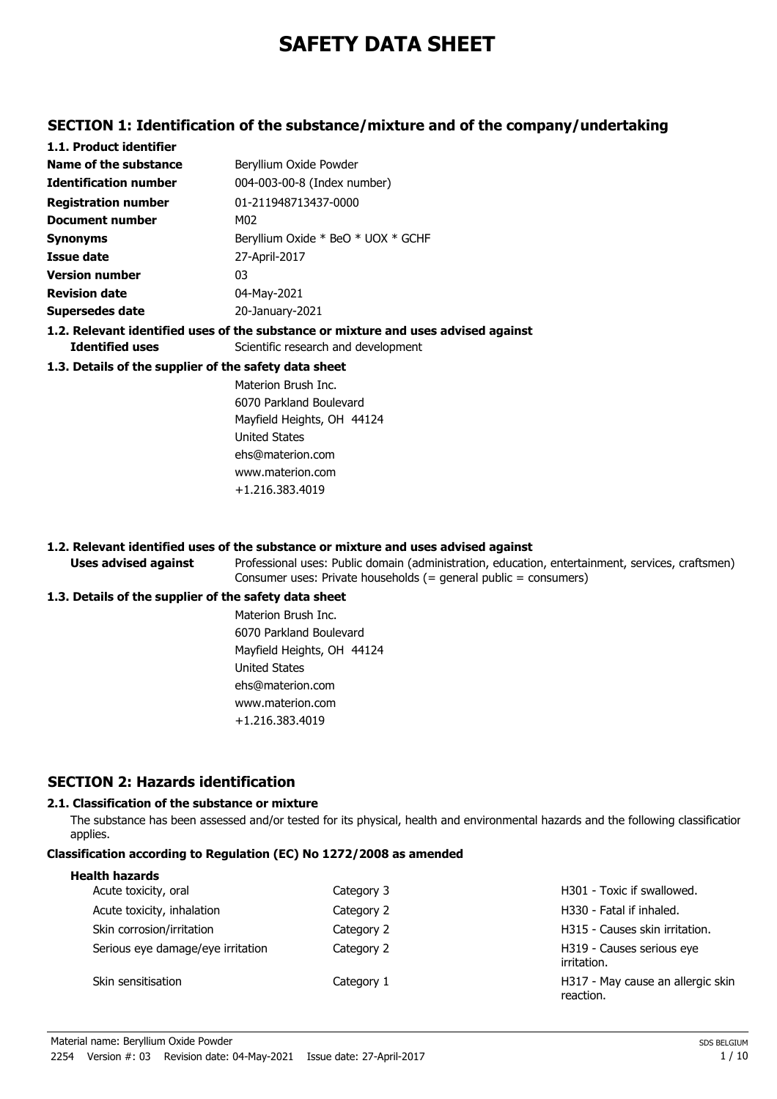# **SAFETY DATA SHEET**

### **SECTION 1: Identification of the substance/mixture and of the company/undertaking**

| 1.1. Product identifier                               |                                                                                    |
|-------------------------------------------------------|------------------------------------------------------------------------------------|
| Name of the substance                                 | Beryllium Oxide Powder                                                             |
| <b>Identification number</b>                          | 004-003-00-8 (Index number)                                                        |
| <b>Registration number</b>                            | 01-211948713437-0000                                                               |
| Document number                                       | M02                                                                                |
| <b>Synonyms</b>                                       | Beryllium Oxide * BeO * UOX * GCHF                                                 |
| Issue date                                            | 27-April-2017                                                                      |
| <b>Version number</b>                                 | 03                                                                                 |
| <b>Revision date</b>                                  | 04-May-2021                                                                        |
| <b>Supersedes date</b>                                | 20-January-2021                                                                    |
|                                                       | 1.2. Relevant identified uses of the substance or mixture and uses advised against |
| <b>Identified uses</b>                                | Scientific research and development                                                |
| 1.3. Details of the supplier of the safety data sheet |                                                                                    |
|                                                       | Materion Brush Inc.                                                                |
|                                                       | 6070 Parkland Boulevard                                                            |
|                                                       | Mayfield Heights, OH 44124                                                         |
|                                                       | <b>United States</b>                                                               |
|                                                       | ehs@materion.com                                                                   |

#### **1.2. Relevant identified uses of the substance or mixture and uses advised against**

www.materion.com +1.216.383.4019

Professional uses: Public domain (administration, education, entertainment, services, craftsmen) Consumer uses: Private households (= general public = consumers)

#### **1.3. Details of the supplier of the safety data sheet**

**Uses advised against**

Materion Brush Inc. 6070 Parkland Boulevard Mayfield Heights, OH 44124 United States ehs@materion.com www.materion.com +1.216.383.4019

### **SECTION 2: Hazards identification**

#### **2.1. Classification of the substance or mixture**

The substance has been assessed and/or tested for its physical, health and environmental hazards and the following classification applies.

#### **Classification according to Regulation (EC) No 1272/2008 as amended**

| Category 3 | H301 - Toxic if swallowed.                     |
|------------|------------------------------------------------|
| Category 2 | H330 - Fatal if inhaled.                       |
| Category 2 | H315 - Causes skin irritation.                 |
| Category 2 | H319 - Causes serious eye<br>irritation.       |
| Category 1 | H317 - May cause an allergic skin<br>reaction. |
|            |                                                |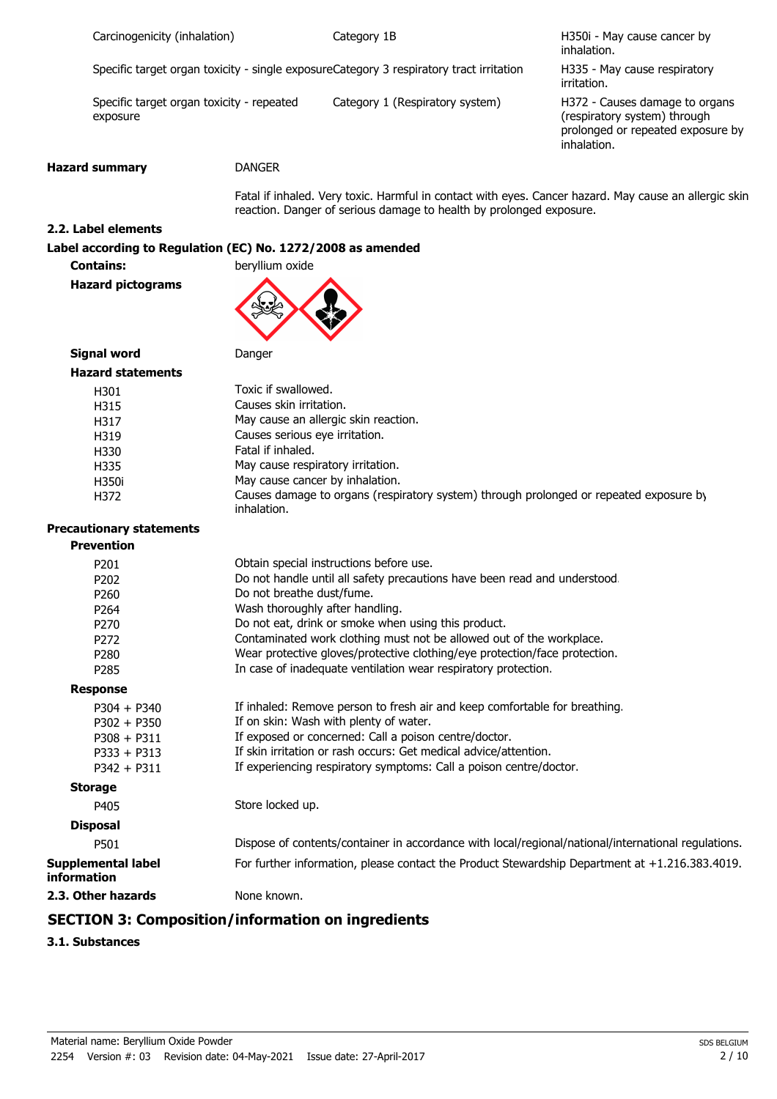| Carcinogenicity (inhalation) |  |
|------------------------------|--|
|                              |  |

Category 1B

H350i - May cause cancer by inhalation.

Specific target organ toxicity - single exposureCategory 3 respiratory tract irritation

Specific target organ toxicity - repeated Category 1 (Respiratory system) exposure

H335 - May cause respiratory irritation.

H372 - Causes damage to organs (respiratory system) through prolonged or repeated exposure by inhalation.

#### **Hazard summary** DANGER

Fatal if inhaled. Very toxic. Harmful in contact with eyes. Cancer hazard. May cause an allergic skin reaction. Danger of serious damage to health by prolonged exposure.

#### **2.2. Label elements**

#### **Label according to Regulation (EC) No. 1272/2008 as amended**

**Contains: beryllium oxide** 

**Hazard pictograms**



**Signal word** Danger

| <b>Hazard statements</b> |                                                                                                       |
|--------------------------|-------------------------------------------------------------------------------------------------------|
| H301                     | Toxic if swallowed.                                                                                   |
| H315                     | Causes skin irritation.                                                                               |
| H317                     | May cause an allergic skin reaction.                                                                  |
| H319                     | Causes serious eye irritation.                                                                        |
| H330                     | Fatal if inhaled.                                                                                     |
| H335                     | May cause respiratory irritation.                                                                     |
| H350i                    | May cause cancer by inhalation.                                                                       |
| H372                     | Causes damage to organs (respiratory system) through prolonged or repeated exposure by<br>inhalation. |

## **Precautionary statements**

| <b>Prevention</b>                               |                                                                                                     |
|-------------------------------------------------|-----------------------------------------------------------------------------------------------------|
| P <sub>201</sub>                                | Obtain special instructions before use.                                                             |
| P <sub>202</sub>                                | Do not handle until all safety precautions have been read and understood.                           |
| P260                                            | Do not breathe dust/fume.                                                                           |
| P <sub>264</sub>                                | Wash thoroughly after handling.                                                                     |
| P <sub>270</sub>                                | Do not eat, drink or smoke when using this product.                                                 |
| P <sub>272</sub>                                | Contaminated work clothing must not be allowed out of the workplace.                                |
| P <sub>280</sub>                                | Wear protective gloves/protective clothing/eye protection/face protection.                          |
| P <sub>285</sub>                                | In case of inadequate ventilation wear respiratory protection.                                      |
| <b>Response</b>                                 |                                                                                                     |
| $P304 + P340$                                   | If inhaled: Remove person to fresh air and keep comfortable for breathing.                          |
| $P302 + P350$                                   | If on skin: Wash with plenty of water.                                                              |
| $P308 + P311$                                   | If exposed or concerned: Call a poison centre/doctor.                                               |
| $P333 + P313$                                   | If skin irritation or rash occurs: Get medical advice/attention.                                    |
| $P342 + P311$                                   | If experiencing respiratory symptoms: Call a poison centre/doctor.                                  |
| <b>Storage</b>                                  |                                                                                                     |
| P405                                            | Store locked up.                                                                                    |
| <b>Disposal</b>                                 |                                                                                                     |
| P501                                            | Dispose of contents/container in accordance with local/regional/national/international regulations. |
| <b>Supplemental label</b><br><b>information</b> | For further information, please contact the Product Stewardship Department at +1.216.383.4019.      |
| 2.3. Other hazards                              | None known.                                                                                         |
|                                                 | CECTION 3. Campagilian linfarmatian an ingradiante                                                  |

#### **SECTION 3: Composition/information on ingredients**

**3.1. Substances**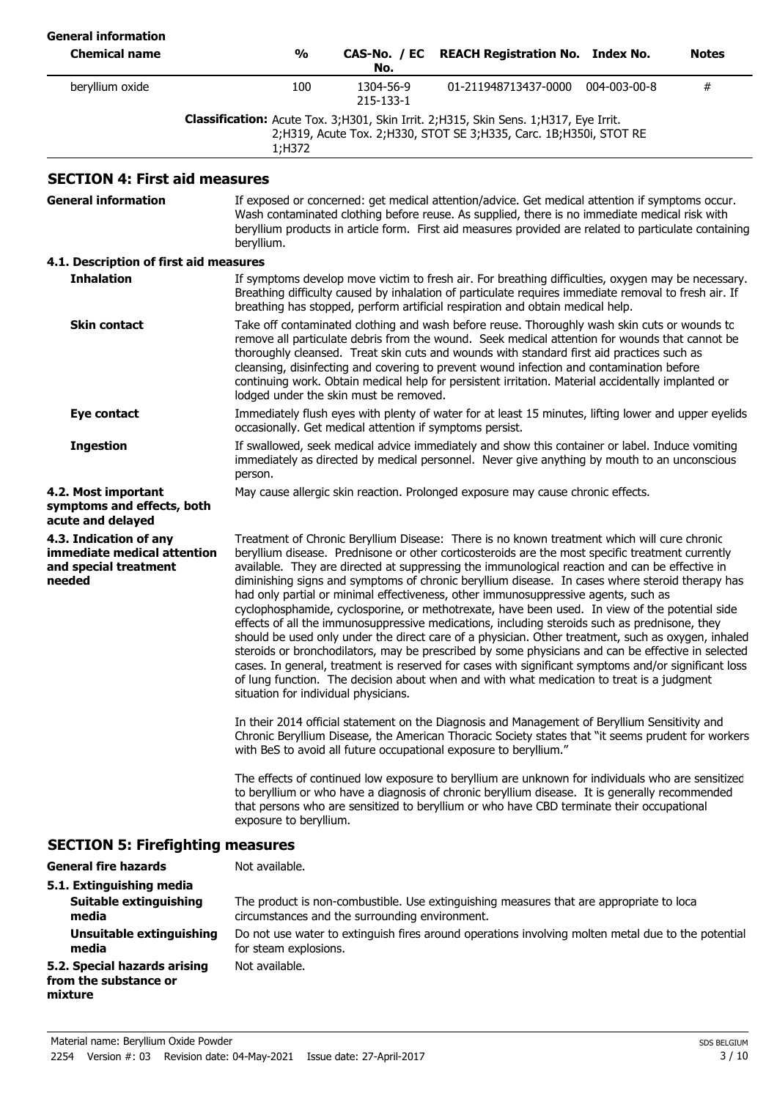| <b>General information</b><br><b>Chemical name</b>                                       | $\frac{1}{2}$                                                                                                                                                                                                                                                                                                                                                                                                                                                                                                                           | CAS-No. / EC<br>No.                                      | <b>REACH Registration No. Index No.</b>                                                                                                                                                                                                                                                                                                                                                                                                                                                                                                                                                                                                                                                                                                                                                                                                                                                                                                                                                                                                                                                                        |              | Notes |
|------------------------------------------------------------------------------------------|-----------------------------------------------------------------------------------------------------------------------------------------------------------------------------------------------------------------------------------------------------------------------------------------------------------------------------------------------------------------------------------------------------------------------------------------------------------------------------------------------------------------------------------------|----------------------------------------------------------|----------------------------------------------------------------------------------------------------------------------------------------------------------------------------------------------------------------------------------------------------------------------------------------------------------------------------------------------------------------------------------------------------------------------------------------------------------------------------------------------------------------------------------------------------------------------------------------------------------------------------------------------------------------------------------------------------------------------------------------------------------------------------------------------------------------------------------------------------------------------------------------------------------------------------------------------------------------------------------------------------------------------------------------------------------------------------------------------------------------|--------------|-------|
| beryllium oxide                                                                          | 100                                                                                                                                                                                                                                                                                                                                                                                                                                                                                                                                     | 1304-56-9<br>215-133-1                                   | 01-211948713437-0000                                                                                                                                                                                                                                                                                                                                                                                                                                                                                                                                                                                                                                                                                                                                                                                                                                                                                                                                                                                                                                                                                           | 004-003-00-8 | #     |
|                                                                                          | 1;H372                                                                                                                                                                                                                                                                                                                                                                                                                                                                                                                                  |                                                          | Classification: Acute Tox. 3;H301, Skin Irrit. 2;H315, Skin Sens. 1;H317, Eye Irrit.<br>2;H319, Acute Tox. 2;H330, STOT SE 3;H335, Carc. 1B;H350i, STOT RE                                                                                                                                                                                                                                                                                                                                                                                                                                                                                                                                                                                                                                                                                                                                                                                                                                                                                                                                                     |              |       |
| <b>SECTION 4: First aid measures</b>                                                     |                                                                                                                                                                                                                                                                                                                                                                                                                                                                                                                                         |                                                          |                                                                                                                                                                                                                                                                                                                                                                                                                                                                                                                                                                                                                                                                                                                                                                                                                                                                                                                                                                                                                                                                                                                |              |       |
| <b>General information</b>                                                               | beryllium.                                                                                                                                                                                                                                                                                                                                                                                                                                                                                                                              |                                                          | If exposed or concerned: get medical attention/advice. Get medical attention if symptoms occur.<br>Wash contaminated clothing before reuse. As supplied, there is no immediate medical risk with<br>beryllium products in article form. First aid measures provided are related to particulate containing                                                                                                                                                                                                                                                                                                                                                                                                                                                                                                                                                                                                                                                                                                                                                                                                      |              |       |
| 4.1. Description of first aid measures                                                   |                                                                                                                                                                                                                                                                                                                                                                                                                                                                                                                                         |                                                          |                                                                                                                                                                                                                                                                                                                                                                                                                                                                                                                                                                                                                                                                                                                                                                                                                                                                                                                                                                                                                                                                                                                |              |       |
| <b>Inhalation</b>                                                                        |                                                                                                                                                                                                                                                                                                                                                                                                                                                                                                                                         |                                                          | If symptoms develop move victim to fresh air. For breathing difficulties, oxygen may be necessary.<br>Breathing difficulty caused by inhalation of particulate requires immediate removal to fresh air. If<br>breathing has stopped, perform artificial respiration and obtain medical help.                                                                                                                                                                                                                                                                                                                                                                                                                                                                                                                                                                                                                                                                                                                                                                                                                   |              |       |
| <b>Skin contact</b>                                                                      | Take off contaminated clothing and wash before reuse. Thoroughly wash skin cuts or wounds to<br>remove all particulate debris from the wound. Seek medical attention for wounds that cannot be<br>thoroughly cleansed. Treat skin cuts and wounds with standard first aid practices such as<br>cleansing, disinfecting and covering to prevent wound infection and contamination before<br>continuing work. Obtain medical help for persistent irritation. Material accidentally implanted or<br>lodged under the skin must be removed. |                                                          |                                                                                                                                                                                                                                                                                                                                                                                                                                                                                                                                                                                                                                                                                                                                                                                                                                                                                                                                                                                                                                                                                                                |              |       |
| Eye contact                                                                              |                                                                                                                                                                                                                                                                                                                                                                                                                                                                                                                                         | occasionally. Get medical attention if symptoms persist. | Immediately flush eyes with plenty of water for at least 15 minutes, lifting lower and upper eyelids                                                                                                                                                                                                                                                                                                                                                                                                                                                                                                                                                                                                                                                                                                                                                                                                                                                                                                                                                                                                           |              |       |
| <b>Ingestion</b>                                                                         | person.                                                                                                                                                                                                                                                                                                                                                                                                                                                                                                                                 |                                                          | If swallowed, seek medical advice immediately and show this container or label. Induce vomiting<br>immediately as directed by medical personnel. Never give anything by mouth to an unconscious                                                                                                                                                                                                                                                                                                                                                                                                                                                                                                                                                                                                                                                                                                                                                                                                                                                                                                                |              |       |
| 4.2. Most important<br>symptoms and effects, both<br>acute and delayed                   |                                                                                                                                                                                                                                                                                                                                                                                                                                                                                                                                         |                                                          | May cause allergic skin reaction. Prolonged exposure may cause chronic effects.                                                                                                                                                                                                                                                                                                                                                                                                                                                                                                                                                                                                                                                                                                                                                                                                                                                                                                                                                                                                                                |              |       |
| 4.3. Indication of any<br>immediate medical attention<br>and special treatment<br>needed | situation for individual physicians.                                                                                                                                                                                                                                                                                                                                                                                                                                                                                                    |                                                          | Treatment of Chronic Beryllium Disease: There is no known treatment which will cure chronic<br>beryllium disease. Prednisone or other corticosteroids are the most specific treatment currently<br>available. They are directed at suppressing the immunological reaction and can be effective in<br>diminishing signs and symptoms of chronic beryllium disease. In cases where steroid therapy has<br>had only partial or minimal effectiveness, other immunosuppressive agents, such as<br>cyclophosphamide, cyclosporine, or methotrexate, have been used. In view of the potential side<br>effects of all the immunosuppressive medications, including steroids such as prednisone, they<br>should be used only under the direct care of a physician. Other treatment, such as oxygen, inhaled<br>steroids or bronchodilators, may be prescribed by some physicians and can be effective in selected<br>cases. In general, treatment is reserved for cases with significant symptoms and/or significant loss<br>of lung function. The decision about when and with what medication to treat is a judgment |              |       |
|                                                                                          |                                                                                                                                                                                                                                                                                                                                                                                                                                                                                                                                         |                                                          | In their 2014 official statement on the Diagnosis and Management of Beryllium Sensitivity and<br>Chronic Beryllium Disease, the American Thoracic Society states that "it seems prudent for workers<br>with BeS to avoid all future occupational exposure to beryllium."                                                                                                                                                                                                                                                                                                                                                                                                                                                                                                                                                                                                                                                                                                                                                                                                                                       |              |       |
|                                                                                          | exposure to beryllium.                                                                                                                                                                                                                                                                                                                                                                                                                                                                                                                  |                                                          | The effects of continued low exposure to beryllium are unknown for individuals who are sensitizec<br>to beryllium or who have a diagnosis of chronic beryllium disease. It is generally recommended<br>that persons who are sensitized to beryllium or who have CBD terminate their occupational                                                                                                                                                                                                                                                                                                                                                                                                                                                                                                                                                                                                                                                                                                                                                                                                               |              |       |
| <b>SECTION 5: Firefighting measures</b>                                                  |                                                                                                                                                                                                                                                                                                                                                                                                                                                                                                                                         |                                                          |                                                                                                                                                                                                                                                                                                                                                                                                                                                                                                                                                                                                                                                                                                                                                                                                                                                                                                                                                                                                                                                                                                                |              |       |
| <b>General fire hazards</b>                                                              | Not available.                                                                                                                                                                                                                                                                                                                                                                                                                                                                                                                          |                                                          |                                                                                                                                                                                                                                                                                                                                                                                                                                                                                                                                                                                                                                                                                                                                                                                                                                                                                                                                                                                                                                                                                                                |              |       |
| 5.1. Extinguishing media<br>Suitable extinguishing<br>media                              |                                                                                                                                                                                                                                                                                                                                                                                                                                                                                                                                         | circumstances and the surrounding environment.           | The product is non-combustible. Use extinguishing measures that are appropriate to loca                                                                                                                                                                                                                                                                                                                                                                                                                                                                                                                                                                                                                                                                                                                                                                                                                                                                                                                                                                                                                        |              |       |
| <b>Unsuitable extinguishing</b><br>media                                                 | for steam explosions.                                                                                                                                                                                                                                                                                                                                                                                                                                                                                                                   |                                                          | Do not use water to extinguish fires around operations involving molten metal due to the potential                                                                                                                                                                                                                                                                                                                                                                                                                                                                                                                                                                                                                                                                                                                                                                                                                                                                                                                                                                                                             |              |       |
| 5.2. Special hazards arising<br>from the substance or<br>mixture                         | Not available.                                                                                                                                                                                                                                                                                                                                                                                                                                                                                                                          |                                                          |                                                                                                                                                                                                                                                                                                                                                                                                                                                                                                                                                                                                                                                                                                                                                                                                                                                                                                                                                                                                                                                                                                                |              |       |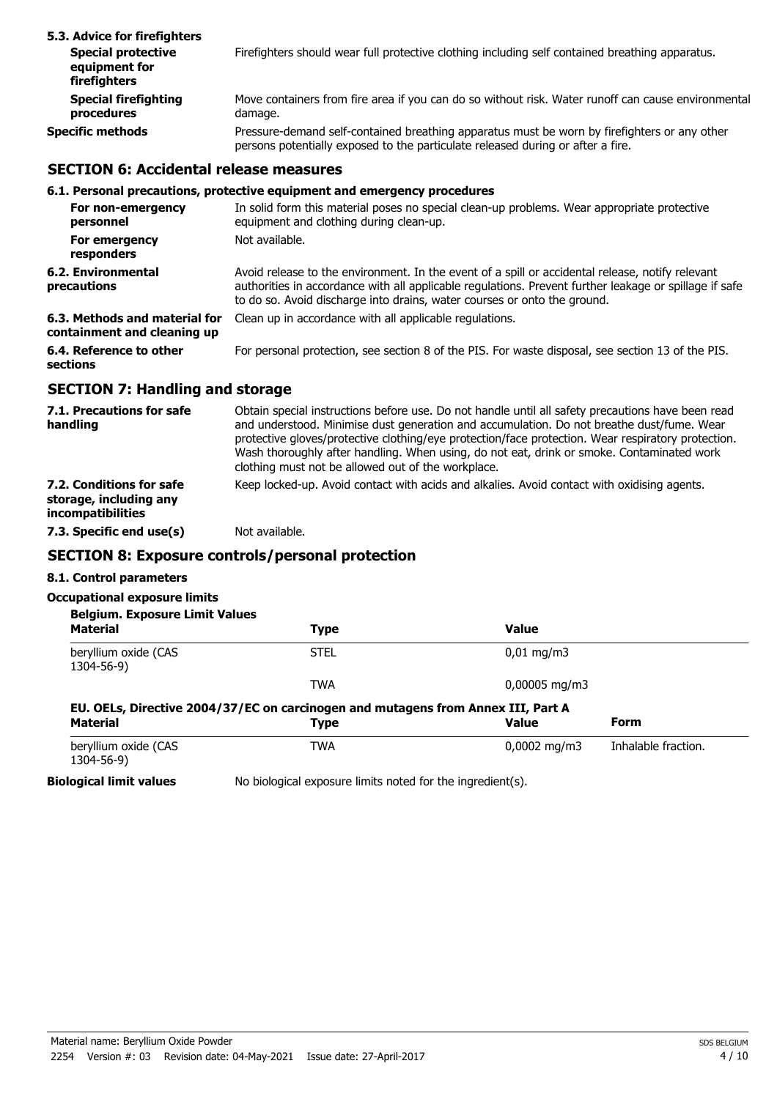| 5.3. Advice for firefighters                               |                                                                                                                                                                                 |
|------------------------------------------------------------|---------------------------------------------------------------------------------------------------------------------------------------------------------------------------------|
| <b>Special protective</b><br>equipment for<br>firefighters | Firefighters should wear full protective clothing including self contained breathing apparatus.                                                                                 |
| <b>Special firefighting</b><br>procedures                  | Move containers from fire area if you can do so without risk. Water runoff can cause environmental<br>damage.                                                                   |
| Specific methods                                           | Pressure-demand self-contained breathing apparatus must be worn by firefighters or any other<br>persons potentially exposed to the particulate released during or after a fire. |

#### **SECTION 6: Accidental release measures**

#### **6.1. Personal precautions, protective equipment and emergency procedures**

| For non-emergency<br>personnel                               | In solid form this material poses no special clean-up problems. Wear appropriate protective<br>equipment and clothing during clean-up.                                                                                                                                                 |
|--------------------------------------------------------------|----------------------------------------------------------------------------------------------------------------------------------------------------------------------------------------------------------------------------------------------------------------------------------------|
| For emergency<br>responders                                  | Not available.                                                                                                                                                                                                                                                                         |
| 6.2. Environmental<br>precautions                            | Avoid release to the environment. In the event of a spill or accidental release, notify relevant<br>authorities in accordance with all applicable regulations. Prevent further leakage or spillage if safe<br>to do so. Avoid discharge into drains, water courses or onto the ground. |
| 6.3. Methods and material for<br>containment and cleaning up | Clean up in accordance with all applicable regulations.                                                                                                                                                                                                                                |
| 6.4. Reference to other<br>sections                          | For personal protection, see section 8 of the PIS. For waste disposal, see section 13 of the PIS.                                                                                                                                                                                      |
|                                                              |                                                                                                                                                                                                                                                                                        |

#### **SECTION 7: Handling and storage**

| 7.1. Precautions for safe<br>handling                                   | Obtain special instructions before use. Do not handle until all safety precautions have been read<br>and understood. Minimise dust generation and accumulation. Do not breathe dust/fume. Wear<br>protective gloves/protective clothing/eye protection/face protection. Wear respiratory protection.<br>Wash thoroughly after handling. When using, do not eat, drink or smoke. Contaminated work<br>clothing must not be allowed out of the workplace. |
|-------------------------------------------------------------------------|---------------------------------------------------------------------------------------------------------------------------------------------------------------------------------------------------------------------------------------------------------------------------------------------------------------------------------------------------------------------------------------------------------------------------------------------------------|
| 7.2. Conditions for safe<br>storage, including any<br>incompatibilities | Keep locked-up. Avoid contact with acids and alkalies. Avoid contact with oxidising agents.                                                                                                                                                                                                                                                                                                                                                             |
| 7.3. Specific end use(s)                                                | Not available.                                                                                                                                                                                                                                                                                                                                                                                                                                          |

## **SECTION 8: Exposure controls/personal protection**

#### **8.1. Control parameters**

#### **Occupational exposure limits**

| <b>Belgium. Exposure Limit Values</b><br><b>Material</b> | <b>Type</b>                                                                                     | <b>Value</b>               |                     |
|----------------------------------------------------------|-------------------------------------------------------------------------------------------------|----------------------------|---------------------|
| beryllium oxide (CAS<br>1304-56-9)                       | <b>STEL</b>                                                                                     | $0.01 \,\mathrm{mq/m}$     |                     |
|                                                          | <b>TWA</b>                                                                                      | $0,00005 \,\mathrm{mq/m3}$ |                     |
| <b>Material</b>                                          | EU. OELs, Directive 2004/37/EC on carcinogen and mutagens from Annex III, Part A<br><b>Type</b> | <b>Value</b>               | Form                |
|                                                          | <b>TWA</b>                                                                                      | $0,0002 \text{ mg/m}$      | Inhalable fraction. |
| beryllium oxide (CAS<br>1304-56-9)                       |                                                                                                 |                            |                     |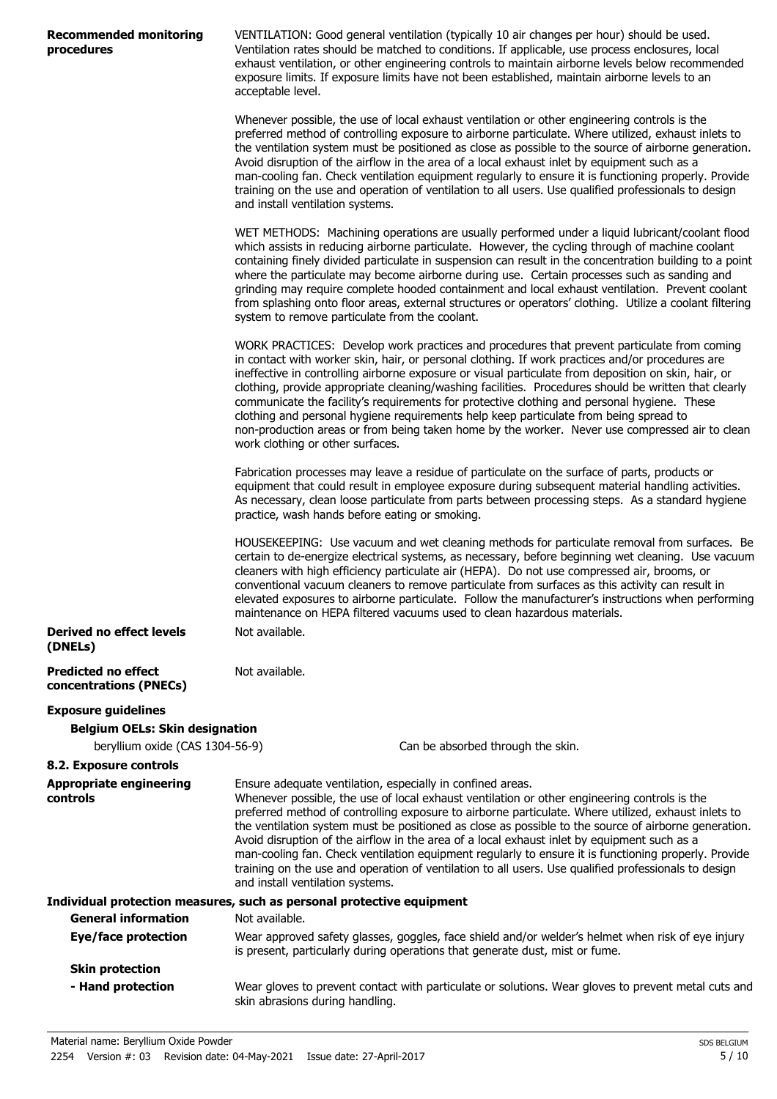| <b>Recommended monitoring</b><br>procedures          | VENTILATION: Good general ventilation (typically 10 air changes per hour) should be used.<br>Ventilation rates should be matched to conditions. If applicable, use process enclosures, local<br>exhaust ventilation, or other engineering controls to maintain airborne levels below recommended                                                                                                                                                                                                                                                                                                                                                                                                                                             |
|------------------------------------------------------|----------------------------------------------------------------------------------------------------------------------------------------------------------------------------------------------------------------------------------------------------------------------------------------------------------------------------------------------------------------------------------------------------------------------------------------------------------------------------------------------------------------------------------------------------------------------------------------------------------------------------------------------------------------------------------------------------------------------------------------------|
|                                                      | exposure limits. If exposure limits have not been established, maintain airborne levels to an<br>acceptable level.                                                                                                                                                                                                                                                                                                                                                                                                                                                                                                                                                                                                                           |
|                                                      | Whenever possible, the use of local exhaust ventilation or other engineering controls is the<br>preferred method of controlling exposure to airborne particulate. Where utilized, exhaust inlets to<br>the ventilation system must be positioned as close as possible to the source of airborne generation.<br>Avoid disruption of the airflow in the area of a local exhaust inlet by equipment such as a<br>man-cooling fan. Check ventilation equipment regularly to ensure it is functioning properly. Provide<br>training on the use and operation of ventilation to all users. Use qualified professionals to design<br>and install ventilation systems.                                                                               |
|                                                      | WET METHODS: Machining operations are usually performed under a liquid lubricant/coolant flood<br>which assists in reducing airborne particulate. However, the cycling through of machine coolant<br>containing finely divided particulate in suspension can result in the concentration building to a point<br>where the particulate may become airborne during use. Certain processes such as sanding and<br>grinding may require complete hooded containment and local exhaust ventilation. Prevent coolant<br>from splashing onto floor areas, external structures or operators' clothing. Utilize a coolant filtering<br>system to remove particulate from the coolant.                                                                 |
|                                                      | WORK PRACTICES: Develop work practices and procedures that prevent particulate from coming<br>in contact with worker skin, hair, or personal clothing. If work practices and/or procedures are<br>ineffective in controlling airborne exposure or visual particulate from deposition on skin, hair, or<br>clothing, provide appropriate cleaning/washing facilities. Procedures should be written that clearly<br>communicate the facility's requirements for protective clothing and personal hygiene. These<br>clothing and personal hygiene requirements help keep particulate from being spread to<br>non-production areas or from being taken home by the worker. Never use compressed air to clean<br>work clothing or other surfaces. |
|                                                      | Fabrication processes may leave a residue of particulate on the surface of parts, products or<br>equipment that could result in employee exposure during subsequent material handling activities.<br>As necessary, clean loose particulate from parts between processing steps. As a standard hygiene<br>practice, wash hands before eating or smoking.                                                                                                                                                                                                                                                                                                                                                                                      |
|                                                      | HOUSEKEEPING: Use vacuum and wet cleaning methods for particulate removal from surfaces. Be<br>certain to de-energize electrical systems, as necessary, before beginning wet cleaning. Use vacuum<br>cleaners with high efficiency particulate air (HEPA). Do not use compressed air, brooms, or<br>conventional vacuum cleaners to remove particulate from surfaces as this activity can result in<br>elevated exposures to airborne particulate. Follow the manufacturer's instructions when performing<br>maintenance on HEPA filtered vacuums used to clean hazardous materials.                                                                                                                                                         |
| <b>Derived no effect levels</b><br>(DNELs)           | Not available.                                                                                                                                                                                                                                                                                                                                                                                                                                                                                                                                                                                                                                                                                                                               |
| <b>Predicted no effect</b><br>concentrations (PNECs) | Not available.                                                                                                                                                                                                                                                                                                                                                                                                                                                                                                                                                                                                                                                                                                                               |
| <b>Exposure guidelines</b>                           |                                                                                                                                                                                                                                                                                                                                                                                                                                                                                                                                                                                                                                                                                                                                              |
| <b>Belgium OELs: Skin designation</b>                |                                                                                                                                                                                                                                                                                                                                                                                                                                                                                                                                                                                                                                                                                                                                              |
| beryllium oxide (CAS 1304-56-9)                      | Can be absorbed through the skin.                                                                                                                                                                                                                                                                                                                                                                                                                                                                                                                                                                                                                                                                                                            |
| 8.2. Exposure controls                               |                                                                                                                                                                                                                                                                                                                                                                                                                                                                                                                                                                                                                                                                                                                                              |
| <b>Appropriate engineering</b><br>controls           | Ensure adequate ventilation, especially in confined areas.<br>Whenever possible, the use of local exhaust ventilation or other engineering controls is the<br>preferred method of controlling exposure to airborne particulate. Where utilized, exhaust inlets to<br>the ventilation system must be positioned as close as possible to the source of airborne generation.<br>Avoid disruption of the airflow in the area of a local exhaust inlet by equipment such as a<br>man-cooling fan. Check ventilation equipment regularly to ensure it is functioning properly. Provide<br>training on the use and operation of ventilation to all users. Use qualified professionals to design<br>and install ventilation systems.                 |
|                                                      | Individual protection measures, such as personal protective equipment                                                                                                                                                                                                                                                                                                                                                                                                                                                                                                                                                                                                                                                                        |
| <b>General information</b>                           | Not available.                                                                                                                                                                                                                                                                                                                                                                                                                                                                                                                                                                                                                                                                                                                               |
| <b>Eye/face protection</b>                           | Wear approved safety glasses, goggles, face shield and/or welder's helmet when risk of eye injury<br>is present, particularly during operations that generate dust, mist or fume.                                                                                                                                                                                                                                                                                                                                                                                                                                                                                                                                                            |
| <b>Skin protection</b><br>- Hand protection          | Wear gloves to prevent contact with particulate or solutions. Wear gloves to prevent metal cuts and                                                                                                                                                                                                                                                                                                                                                                                                                                                                                                                                                                                                                                          |
|                                                      |                                                                                                                                                                                                                                                                                                                                                                                                                                                                                                                                                                                                                                                                                                                                              |

skin abrasions during handling.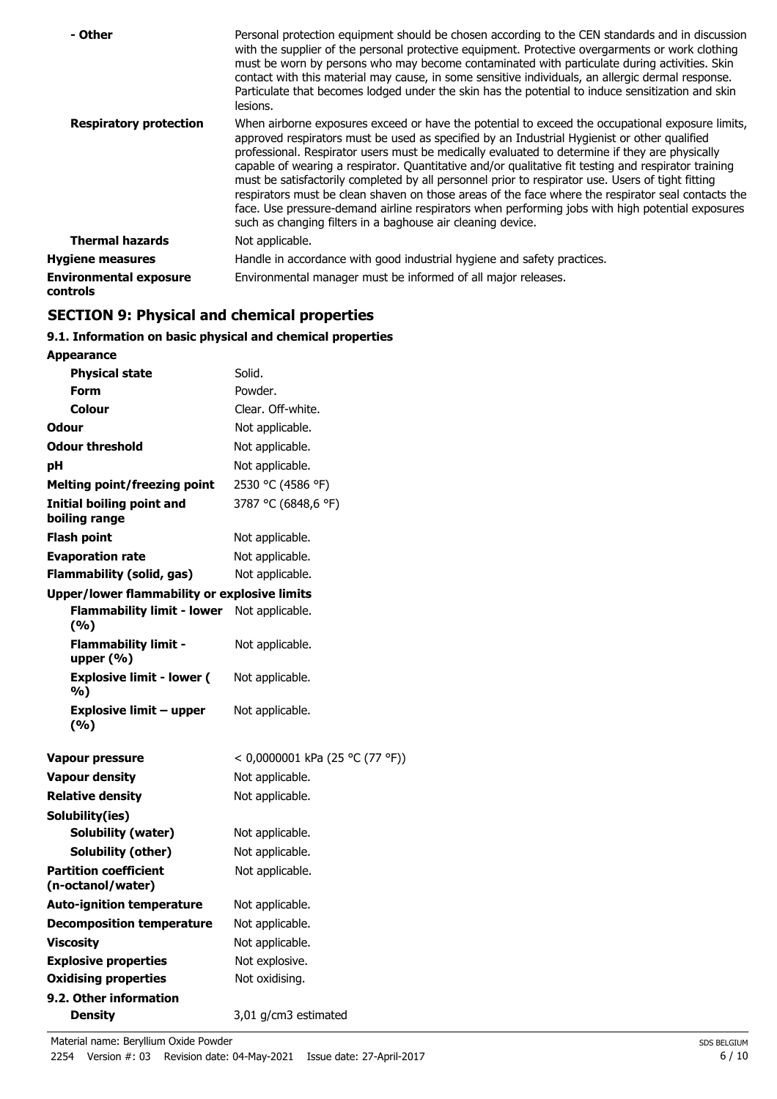| - Other                                          | Personal protection equipment should be chosen according to the CEN standards and in discussion<br>with the supplier of the personal protective equipment. Protective overgarments or work clothing<br>must be worn by persons who may become contaminated with particulate during activities. Skin<br>contact with this material may cause, in some sensitive individuals, an allergic dermal response.<br>Particulate that becomes lodged under the skin has the potential to induce sensitization and skin<br>lesions.                                                                                                                                                                                                                                                                |
|--------------------------------------------------|------------------------------------------------------------------------------------------------------------------------------------------------------------------------------------------------------------------------------------------------------------------------------------------------------------------------------------------------------------------------------------------------------------------------------------------------------------------------------------------------------------------------------------------------------------------------------------------------------------------------------------------------------------------------------------------------------------------------------------------------------------------------------------------|
| <b>Respiratory protection</b>                    | When airborne exposures exceed or have the potential to exceed the occupational exposure limits,<br>approved respirators must be used as specified by an Industrial Hygienist or other qualified<br>professional. Respirator users must be medically evaluated to determine if they are physically<br>capable of wearing a respirator. Quantitative and/or qualitative fit testing and respirator training<br>must be satisfactorily completed by all personnel prior to respirator use. Users of tight fitting<br>respirators must be clean shaven on those areas of the face where the respirator seal contacts the<br>face. Use pressure-demand airline respirators when performing jobs with high potential exposures<br>such as changing filters in a baghouse air cleaning device. |
| <b>Thermal hazards</b>                           | Not applicable.                                                                                                                                                                                                                                                                                                                                                                                                                                                                                                                                                                                                                                                                                                                                                                          |
| <b>Hygiene measures</b>                          | Handle in accordance with good industrial hygiene and safety practices.                                                                                                                                                                                                                                                                                                                                                                                                                                                                                                                                                                                                                                                                                                                  |
| <b>Environmental exposure</b><br><b>controls</b> | Environmental manager must be informed of all major releases.                                                                                                                                                                                                                                                                                                                                                                                                                                                                                                                                                                                                                                                                                                                            |

## **SECTION 9: Physical and chemical properties**

## **9.1. Information on basic physical and chemical properties**

| <b>Appearance</b>                                   |                                 |
|-----------------------------------------------------|---------------------------------|
| <b>Physical state</b>                               | Solid.                          |
| Form                                                | Powder.                         |
| Colour                                              | Clear. Off-white.               |
| <b>Odour</b>                                        | Not applicable.                 |
| <b>Odour threshold</b>                              | Not applicable.                 |
| рH                                                  | Not applicable.                 |
| <b>Melting point/freezing point</b>                 | 2530 °C (4586 °F)               |
| <b>Initial boiling point and</b><br>boiling range   | 3787 °C (6848,6 °F)             |
| Flash point                                         | Not applicable.                 |
| <b>Evaporation rate</b>                             | Not applicable.                 |
| <b>Flammability (solid, gas)</b>                    | Not applicable.                 |
| <b>Upper/lower flammability or explosive limits</b> |                                 |
| <b>Flammability limit - lower</b><br>(%)            | Not applicable.                 |
| <b>Flammability limit -</b><br>upper $(% )$         | Not applicable.                 |
| <b>Explosive limit - lower (</b><br>%)              | Not applicable.                 |
| <b>Explosive limit - upper</b><br>(%)               | Not applicable.                 |
| Vapour pressure                                     | < 0,0000001 kPa (25 °C (77 °F)) |
| <b>Vapour density</b>                               | Not applicable.                 |
| <b>Relative density</b>                             | Not applicable.                 |
| Solubility(ies)                                     |                                 |
| <b>Solubility (water)</b>                           | Not applicable.                 |
| Solubility (other)                                  | Not applicable.                 |
| <b>Partition coefficient</b><br>(n-octanol/water)   | Not applicable.                 |
| <b>Auto-ignition temperature</b>                    | Not applicable.                 |
| <b>Decomposition temperature</b>                    | Not applicable.                 |
| <b>Viscosity</b>                                    | Not applicable.                 |
| <b>Explosive properties</b>                         | Not explosive.                  |
| <b>Oxidising properties</b>                         | Not oxidising.                  |
| 9.2. Other information                              |                                 |
| <b>Density</b>                                      | 3,01 g/cm3 estimated            |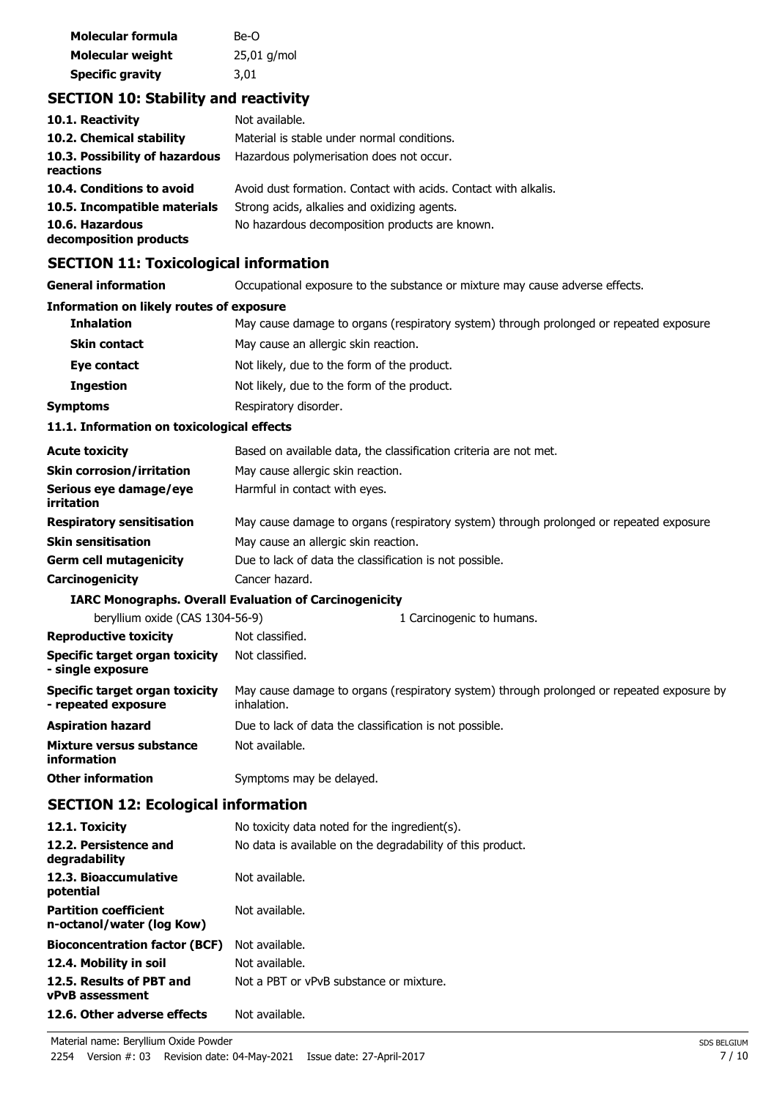| Molecular formula       | Be-O          |
|-------------------------|---------------|
| Molecular weight        | $25,01$ g/mol |
| <b>Specific gravity</b> | 3,01          |

## **SECTION 10: Stability and reactivity**

| 10.1. Reactivity                            | Not available.                                                  |
|---------------------------------------------|-----------------------------------------------------------------|
| 10.2. Chemical stability                    | Material is stable under normal conditions.                     |
| 10.3. Possibility of hazardous<br>reactions | Hazardous polymerisation does not occur.                        |
| 10.4. Conditions to avoid                   | Avoid dust formation. Contact with acids. Contact with alkalis. |
| 10.5. Incompatible materials                | Strong acids, alkalies and oxidizing agents.                    |
| 10.6. Hazardous<br>decomposition products   | No hazardous decomposition products are known.                  |

## **SECTION 11: Toxicological information**

| SECTION II. TOXICORGICAL IIIOHIIAGON                         |                                                                                                          |
|--------------------------------------------------------------|----------------------------------------------------------------------------------------------------------|
| <b>General information</b>                                   | Occupational exposure to the substance or mixture may cause adverse effects.                             |
| <b>Information on likely routes of exposure</b>              |                                                                                                          |
| <b>Inhalation</b>                                            | May cause damage to organs (respiratory system) through prolonged or repeated exposure.                  |
| <b>Skin contact</b>                                          | May cause an allergic skin reaction.                                                                     |
| Eye contact                                                  | Not likely, due to the form of the product.                                                              |
| <b>Ingestion</b>                                             | Not likely, due to the form of the product.                                                              |
| <b>Symptoms</b>                                              | Respiratory disorder.                                                                                    |
| 11.1. Information on toxicological effects                   |                                                                                                          |
| <b>Acute toxicity</b>                                        | Based on available data, the classification criteria are not met.                                        |
| <b>Skin corrosion/irritation</b>                             | May cause allergic skin reaction.                                                                        |
| Serious eye damage/eye<br>irritation                         | Harmful in contact with eyes.                                                                            |
| <b>Respiratory sensitisation</b>                             | May cause damage to organs (respiratory system) through prolonged or repeated exposure.                  |
| <b>Skin sensitisation</b>                                    | May cause an allergic skin reaction.                                                                     |
| <b>Germ cell mutagenicity</b>                                | Due to lack of data the classification is not possible.                                                  |
| Carcinogenicity                                              | Cancer hazard.                                                                                           |
|                                                              | <b>IARC Monographs. Overall Evaluation of Carcinogenicity</b>                                            |
| beryllium oxide (CAS 1304-56-9)                              | 1 Carcinogenic to humans.                                                                                |
| <b>Reproductive toxicity</b>                                 | Not classified.                                                                                          |
| <b>Specific target organ toxicity</b><br>- single exposure   | Not classified.                                                                                          |
| <b>Specific target organ toxicity</b><br>- repeated exposure | May cause damage to organs (respiratory system) through prolonged or repeated exposure by<br>inhalation. |
| <b>Aspiration hazard</b>                                     | Due to lack of data the classification is not possible.                                                  |
| <b>Mixture versus substance</b><br>information               | Not available.                                                                                           |
| <b>Other information</b>                                     | Symptoms may be delayed.                                                                                 |
| <b>SECTION 12: Ecological information</b>                    |                                                                                                          |

| No toxicity data noted for the ingredient(s).              |
|------------------------------------------------------------|
| No data is available on the degradability of this product. |
| Not available.                                             |
| Not available.                                             |
| Not available.                                             |
| Not available.                                             |
| Not a PBT or vPvB substance or mixture.                    |
| Not available.                                             |
|                                                            |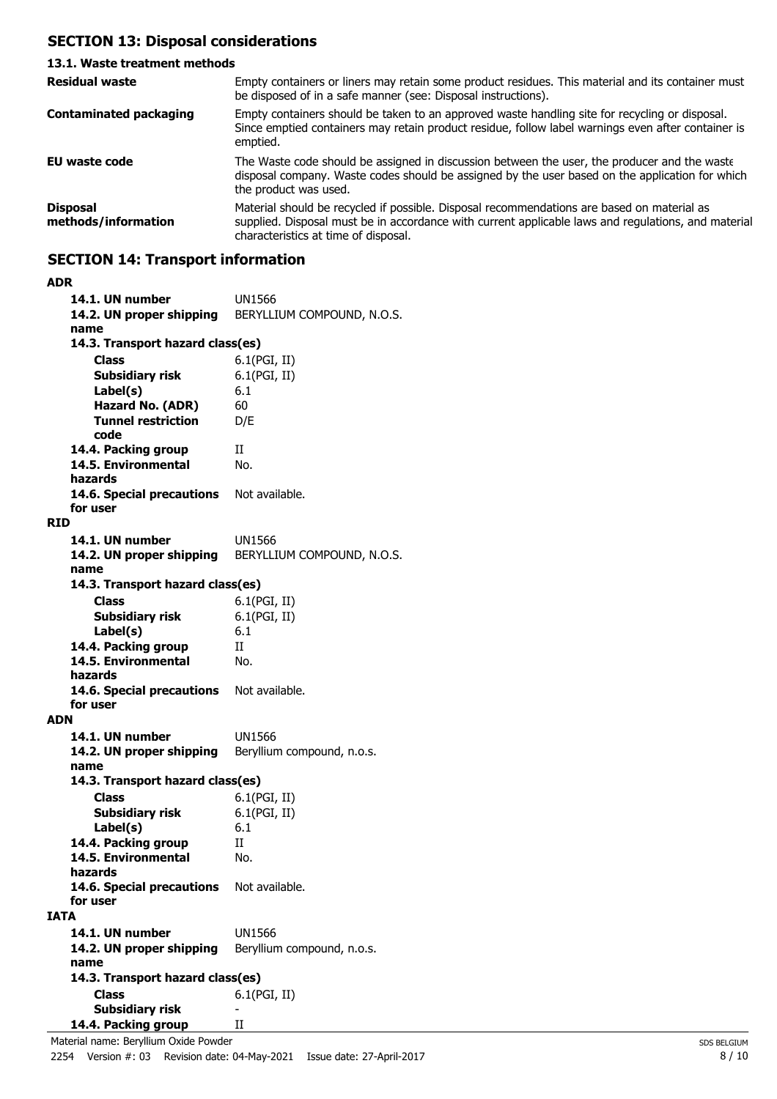## **SECTION 13: Disposal considerations**

#### **13.1. Waste treatment methods** Empty containers or liners may retain some product residues. This material and its container must be disposed of in a safe manner (see: Disposal instructions). **Residual waste** Empty containers should be taken to an approved waste handling site for recycling or disposal. Since emptied containers may retain product residue, follow label warnings even after container is emptied. **Contaminated packaging EU waste code** The Waste code should be assigned in discussion between the user, the producer and the waste disposal company. Waste codes should be assigned by the user based on the application for which the product was used. Material should be recycled if possible. Disposal recommendations are based on material as supplied. Disposal must be in accordance with current applicable laws and regulations, and material characteristics at time of disposal. **Disposal methods/information**

## **SECTION 14: Transport information**

| ADR  |                                          |                            |
|------|------------------------------------------|----------------------------|
|      | 14.1. UN number                          | UN1566                     |
|      | 14.2. UN proper shipping                 | BERYLLIUM COMPOUND, N.O.S. |
|      | name                                     |                            |
|      | 14.3. Transport hazard class(es)         |                            |
|      | <b>Class</b>                             | 6.1(PGI, II)               |
|      |                                          | 6.1(PGI, II)               |
|      | Subsidiary risk                          |                            |
|      | Label(s)                                 | 6.1                        |
|      | Hazard No. (ADR)                         | 60                         |
|      | <b>Tunnel restriction</b>                | D/E                        |
|      | code                                     |                            |
|      | 14.4. Packing group                      | П                          |
|      | 14.5. Environmental                      | No.                        |
|      | hazards                                  |                            |
|      | 14.6. Special precautions                | Not available.             |
|      | for user                                 |                            |
| RID  |                                          |                            |
|      | 14.1. UN number                          | UN1566                     |
|      | 14.2. UN proper shipping                 | BERYLLIUM COMPOUND, N.O.S. |
|      | name                                     |                            |
|      | 14.3. Transport hazard class(es)         |                            |
|      | Class                                    | 6.1(PGI, II)               |
|      |                                          |                            |
|      | <b>Subsidiary risk</b>                   | 6.1(PGI, II)               |
|      | Label(s)                                 | 6.1                        |
|      | 14.4. Packing group                      | H                          |
|      | 14.5. Environmental                      | No.                        |
|      | hazards                                  |                            |
|      | 14.6. Special precautions                | Not available.             |
|      | for user                                 |                            |
| ADN  |                                          |                            |
|      | 14.1. UN number                          | UN1566                     |
|      | 14.2. UN proper shipping                 | Beryllium compound, n.o.s. |
|      | name                                     |                            |
|      | 14.3. Transport hazard class(es)         |                            |
|      | <b>Class</b>                             | 6.1(PGI, II)               |
|      | Subsidiary risk                          | 6.1(PGI, II)               |
|      | Label(s)                                 | 6.1                        |
|      | 14.4. Packing group                      | H                          |
|      | 14.5. Environmental                      | No.                        |
|      | hazards                                  |                            |
|      | 14.6. Special precautions Not available. |                            |
|      | for user                                 |                            |
| IATA |                                          |                            |
|      |                                          |                            |
|      | 14.1. UN number                          | UN1566                     |
|      | 14.2. UN proper shipping                 | Beryllium compound, n.o.s. |
|      | name                                     |                            |
|      | 14.3. Transport hazard class(es)         |                            |
|      | <b>Class</b>                             | 6.1(PGI, II)               |
|      | <b>Subsidiary risk</b>                   |                            |
|      | 14.4. Packing group                      | Н                          |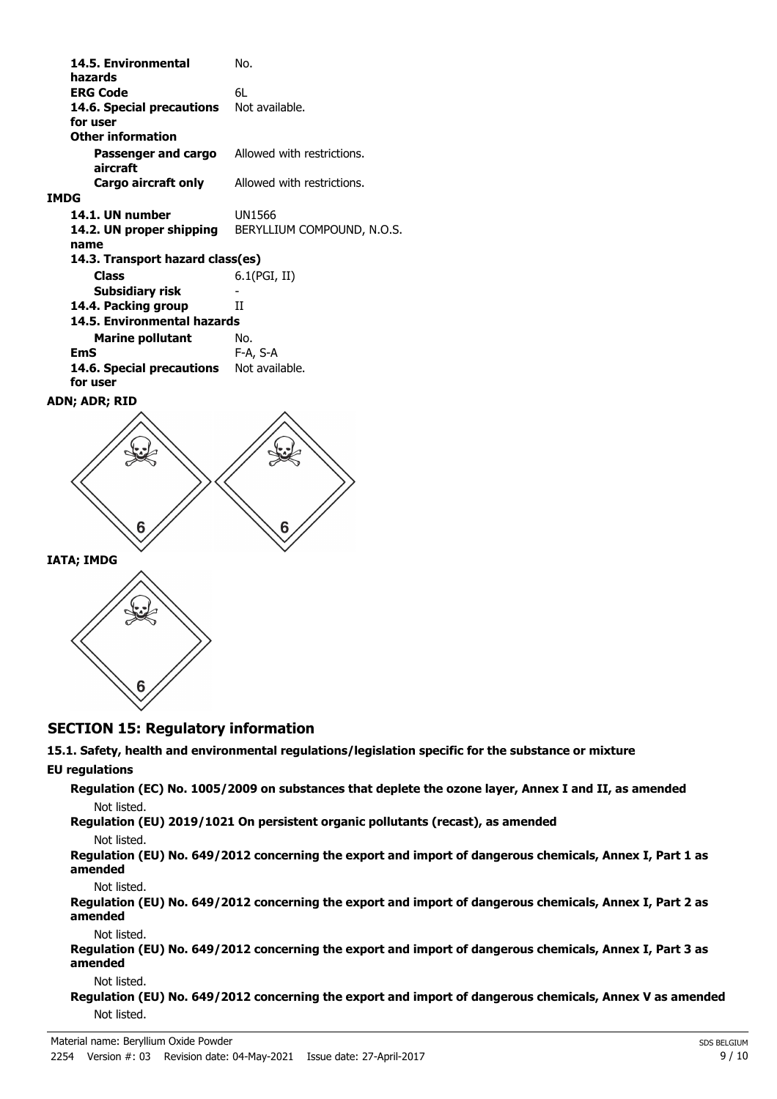| 14.5. Environmental<br>hazards   | No.                        |
|----------------------------------|----------------------------|
| <b>ERG Code</b>                  | 61.                        |
| 14.6. Special precautions        | Not available.             |
| for user                         |                            |
| <b>Other information</b>         |                            |
| Passenger and cargo              | Allowed with restrictions. |
| aircraft                         |                            |
| Cargo aircraft only              | Allowed with restrictions. |
| <b>IMDG</b>                      |                            |
| 14.1. UN number                  | UN1566                     |
| 14.2. UN proper shipping         | BERYLLIUM COMPOUND, N.O.S. |
| name                             |                            |
| 14.3. Transport hazard class(es) |                            |
| Class                            | 6.1(PGI, II)               |
| Subsidiary risk                  |                            |
| 14.4. Packing group              | Н                          |
| 14.5. Environmental hazards      |                            |
| <b>Marine pollutant</b>          | No.                        |
| EmS                              | F-A, S-A                   |
| 14.6. Special precautions        | Not available.             |
| for user                         |                            |
| ADN; ADR; RID                    |                            |





## **SECTION 15: Regulatory information**

## **15.1. Safety, health and environmental regulations/legislation specific for the substance or mixture**

#### **EU regulations**

**Regulation (EC) No. 1005/2009 on substances that deplete the ozone layer, Annex I and II, as amended** Not listed.

**Regulation (EU) 2019/1021 On persistent organic pollutants (recast), as amended**

#### Not listed.

**Regulation (EU) No. 649/2012 concerning the export and import of dangerous chemicals, Annex I, Part 1 as amended**

Not listed.

**Regulation (EU) No. 649/2012 concerning the export and import of dangerous chemicals, Annex I, Part 2 as amended**

Not listed.

**Regulation (EU) No. 649/2012 concerning the export and import of dangerous chemicals, Annex I, Part 3 as amended**

#### Not listed.

**Regulation (EU) No. 649/2012 concerning the export and import of dangerous chemicals, Annex V as amended** Not listed.